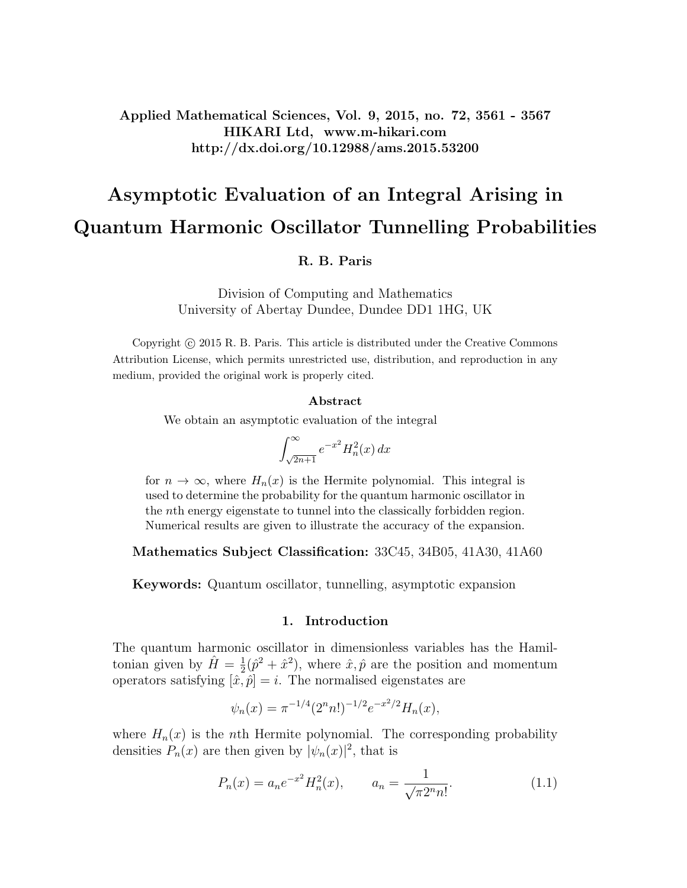Applied Mathematical Sciences, Vol. 9, 2015, no. 72, 3561 - 3567 HIKARI Ltd, www.m-hikari.com http://dx.doi.org/10.12988/ams.2015.53200

# Asymptotic Evaluation of an Integral Arising in Quantum Harmonic Oscillator Tunnelling Probabilities

R. B. Paris

Division of Computing and Mathematics University of Abertay Dundee, Dundee DD1 1HG, UK

Copyright  $\odot$  2015 R. B. Paris. This article is distributed under the Creative Commons Attribution License, which permits unrestricted use, distribution, and reproduction in any medium, provided the original work is properly cited.

#### Abstract

We obtain an asymptotic evaluation of the integral

$$
\int_{\sqrt{2n+1}}^{\infty} e^{-x^2} H_n^2(x) \, dx
$$

for  $n \to \infty$ , where  $H_n(x)$  is the Hermite polynomial. This integral is used to determine the probability for the quantum harmonic oscillator in the nth energy eigenstate to tunnel into the classically forbidden region. Numerical results are given to illustrate the accuracy of the expansion.

Mathematics Subject Classification: 33C45, 34B05, 41A30, 41A60

Keywords: Quantum oscillator, tunnelling, asymptotic expansion

### 1. Introduction

The quantum harmonic oscillator in dimensionless variables has the Hamiltonian given by  $\hat{H} = \frac{1}{2}$  $\frac{1}{2}(\hat{p}^2 + \hat{x}^2)$ , where  $\hat{x}, \hat{p}$  are the position and momentum operators satisfying  $[\hat{x}, \hat{p}] = i$ . The normalised eigenstates are

$$
\psi_n(x) = \pi^{-1/4} (2^n n!)^{-1/2} e^{-x^2/2} H_n(x),
$$

where  $H_n(x)$  is the *n*th Hermite polynomial. The corresponding probability densities  $P_n(x)$  are then given by  $|\psi_n(x)|^2$ , that is

$$
P_n(x) = a_n e^{-x^2} H_n^2(x), \qquad a_n = \frac{1}{\sqrt{\pi 2^n n!}}.
$$
\n(1.1)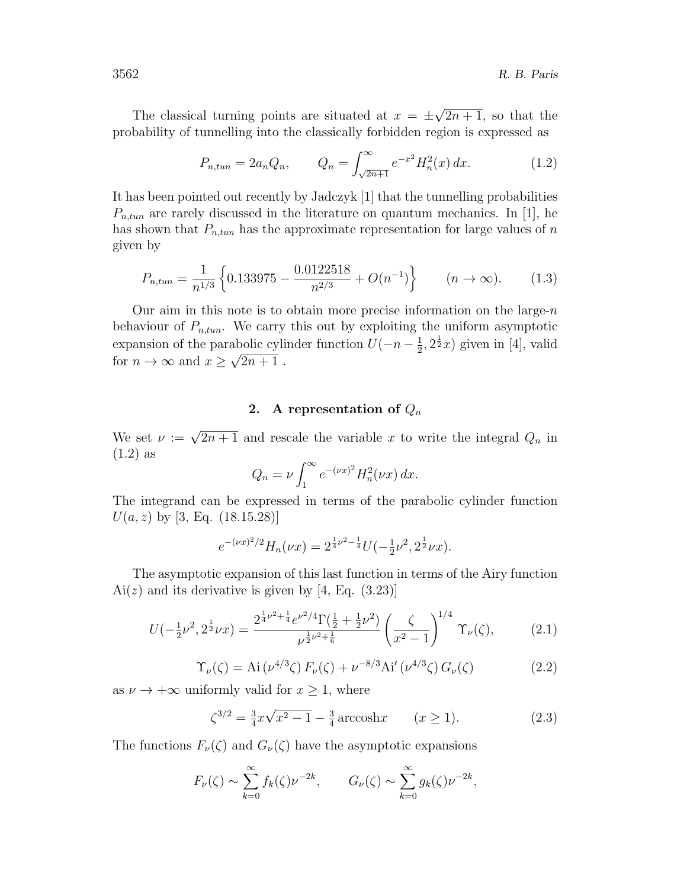The classical turning points are situated at  $x = \pm$ √  $\overline{2n+1}$ , so that the probability of tunnelling into the classically forbidden region is expressed as

$$
P_{n,tun} = 2a_n Q_n, \qquad Q_n = \int_{\sqrt{2n+1}}^{\infty} e^{-x^2} H_n^2(x) \, dx. \tag{1.2}
$$

It has been pointed out recently by Jadczyk [1] that the tunnelling probabilities  $P_{n,tun}$  are rarely discussed in the literature on quantum mechanics. In [1], he has shown that  $P_{n,tun}$  has the approximate representation for large values of n given by

$$
P_{n,tun} = \frac{1}{n^{1/3}} \left\{ 0.133975 - \frac{0.0122518}{n^{2/3}} + O(n^{-1}) \right\} \qquad (n \to \infty). \tag{1.3}
$$

Our aim in this note is to obtain more precise information on the large- $n$ behaviour of  $P_{n,tun}$ . We carry this out by exploiting the uniform asymptotic expansion of the parabolic cylinder function  $U(-n-\frac{1}{2})$ abolic cylinder function  $U(-n-\frac{1}{2},2^{\frac{1}{2}}x)$  given in [4], valid for  $n \to \infty$  and  $x \geq \sqrt{2n+1}$ .

## 2. A representation of  $Q_n$

We set  $\nu := \sqrt{2n+1}$  and rescale the variable x to write the integral  $Q_n$  in (1.2) as

$$
Q_n = \nu \int_1^\infty e^{-(\nu x)^2} H_n^2(\nu x) \, dx.
$$

The integrand can be expressed in terms of the parabolic cylinder function  $U(a, z)$  by [3, Eq. (18.15.28)]

$$
e^{-(\nu x)^2/2}H_n(\nu x) = 2^{\frac{1}{4}\nu^2 - \frac{1}{4}}U(-\frac{1}{2}\nu^2, 2^{\frac{1}{2}}\nu x).
$$

The asymptotic expansion of this last function in terms of the Airy function  $Ai(z)$  and its derivative is given by [4, Eq. (3.23)]

$$
U(-\frac{1}{2}\nu^2, 2^{\frac{1}{2}}\nu x) = \frac{2^{\frac{1}{4}\nu^2 + \frac{1}{4}}e^{\nu^2/4}\Gamma(\frac{1}{2} + \frac{1}{2}\nu^2)}{\nu^{\frac{1}{2}\nu^2 + \frac{1}{6}}} \left(\frac{\zeta}{x^2 - 1}\right)^{1/4} \Upsilon_{\nu}(\zeta),
$$
 (2.1)

$$
\Upsilon_{\nu}(\zeta) = \text{Ai}(\nu^{4/3}\zeta) F_{\nu}(\zeta) + \nu^{-8/3}\text{Ai}'(\nu^{4/3}\zeta) G_{\nu}(\zeta)
$$
 (2.2)

as  $\nu \to +\infty$  uniformly valid for  $x \geq 1$ , where

$$
\zeta^{3/2} = \frac{3}{4}x\sqrt{x^2 - 1} - \frac{3}{4}\arccosh x \qquad (x \ge 1).
$$
 (2.3)

The functions  $F_{\nu}(\zeta)$  and  $G_{\nu}(\zeta)$  have the asymptotic expansions

$$
F_{\nu}(\zeta) \sim \sum_{k=0}^{\infty} f_k(\zeta) \nu^{-2k}, \qquad G_{\nu}(\zeta) \sim \sum_{k=0}^{\infty} g_k(\zeta) \nu^{-2k},
$$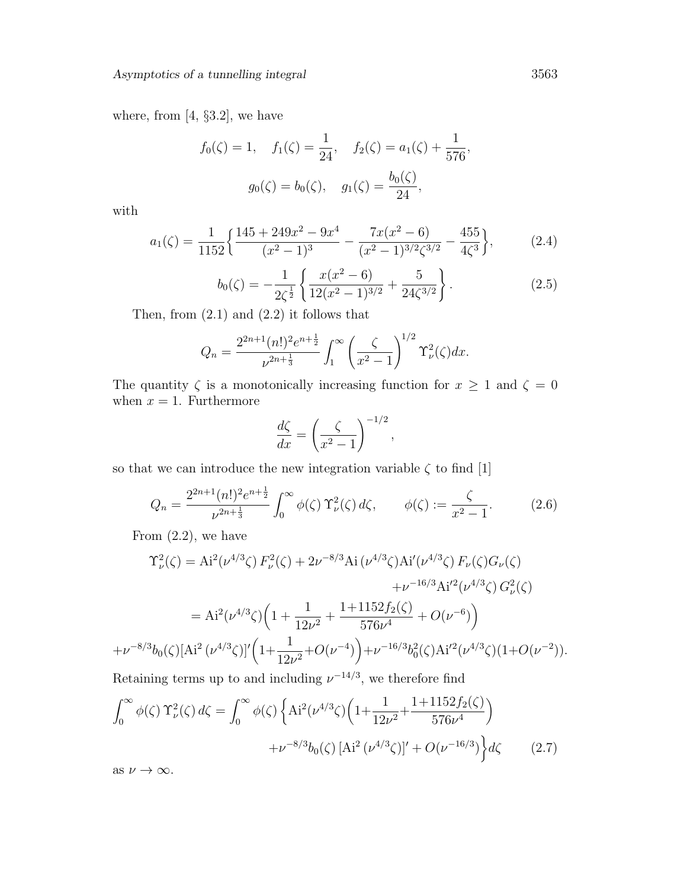where, from  $[4, §3.2]$ , we have

$$
f_0(\zeta) = 1
$$
,  $f_1(\zeta) = \frac{1}{24}$ ,  $f_2(\zeta) = a_1(\zeta) + \frac{1}{576}$ ,  
 $g_0(\zeta) = b_0(\zeta)$ ,  $g_1(\zeta) = \frac{b_0(\zeta)}{24}$ ,

with

$$
a_1(\zeta) = \frac{1}{1152} \left\{ \frac{145 + 249x^2 - 9x^4}{(x^2 - 1)^3} - \frac{7x(x^2 - 6)}{(x^2 - 1)^{3/2} \zeta^{3/2}} - \frac{455}{4\zeta^3} \right\},\tag{2.4}
$$

$$
b_0(\zeta) = -\frac{1}{2\zeta^{\frac{1}{2}}} \left\{ \frac{x(x^2 - 6)}{12(x^2 - 1)^{3/2}} + \frac{5}{24\zeta^{3/2}} \right\}.
$$
 (2.5)

Then, from  $(2.1)$  and  $(2.2)$  it follows that

$$
Q_n = \frac{2^{2n+1} (n!)^2 e^{n+\frac{1}{2}}}{\nu^{2n+\frac{1}{3}}} \int_1^\infty \left(\frac{\zeta}{x^2-1}\right)^{1/2} \Upsilon^2_\nu(\zeta) dx.
$$

The quantity  $\zeta$  is a monotonically increasing function for  $x \ge 1$  and  $\zeta = 0$ when  $x = 1$ . Furthermore

$$
\frac{d\zeta}{dx} = \left(\frac{\zeta}{x^2 - 1}\right)^{-1/2},
$$

so that we can introduce the new integration variable  $\zeta$  to find [1]

$$
Q_n = \frac{2^{2n+1}(n!)^2 e^{n+\frac{1}{2}}}{\nu^{2n+\frac{1}{3}}} \int_0^\infty \phi(\zeta) \Upsilon_\nu^2(\zeta) d\zeta, \qquad \phi(\zeta) := \frac{\zeta}{x^2 - 1}.
$$
 (2.6)

From  $(2.2)$ , we have

$$
\Upsilon_{\nu}^{2}(\zeta) = Ai^{2}(\nu^{4/3}\zeta) F_{\nu}^{2}(\zeta) + 2\nu^{-8/3}Ai(\nu^{4/3}\zeta) Ai'(\nu^{4/3}\zeta) F_{\nu}(\zeta) G_{\nu}(\zeta)
$$

$$
+ \nu^{-16/3} Ai'^{2}(\nu^{4/3}\zeta) G_{\nu}^{2}(\zeta)
$$

$$
= Ai^{2}(\nu^{4/3}\zeta) \left(1 + \frac{1}{12\nu^{2}} + \frac{1 + 1152f_{2}(\zeta)}{576\nu^{4}} + O(\nu^{-6})\right)
$$

$$
+ \nu^{-8/3}b_{0}(\zeta)[Ai^{2}(\nu^{4/3}\zeta)]' \left(1 + \frac{1}{12\nu^{2}} + O(\nu^{-4})\right) + \nu^{-16/3}b_{0}^{2}(\zeta)Ai'^{2}(\nu^{4/3}\zeta)(1 + O(\nu^{-2})).
$$
 Retaining terms up to and including  $\nu^{-14/3}$ , we therefore find

$$
\int_0^\infty \phi(\zeta) \Upsilon_\nu^2(\zeta) d\zeta = \int_0^\infty \phi(\zeta) \left\{ Ai^2(\nu^{4/3} \zeta) \left( 1 + \frac{1}{12\nu^2} + \frac{1 + 1152 f_2(\zeta)}{576\nu^4} \right) + \nu^{-8/3} b_0(\zeta) \left[ Ai^2(\nu^{4/3} \zeta) \right]' + O(\nu^{-16/3}) \right\} d\zeta \tag{2.7}
$$

as  $\nu \to \infty$ .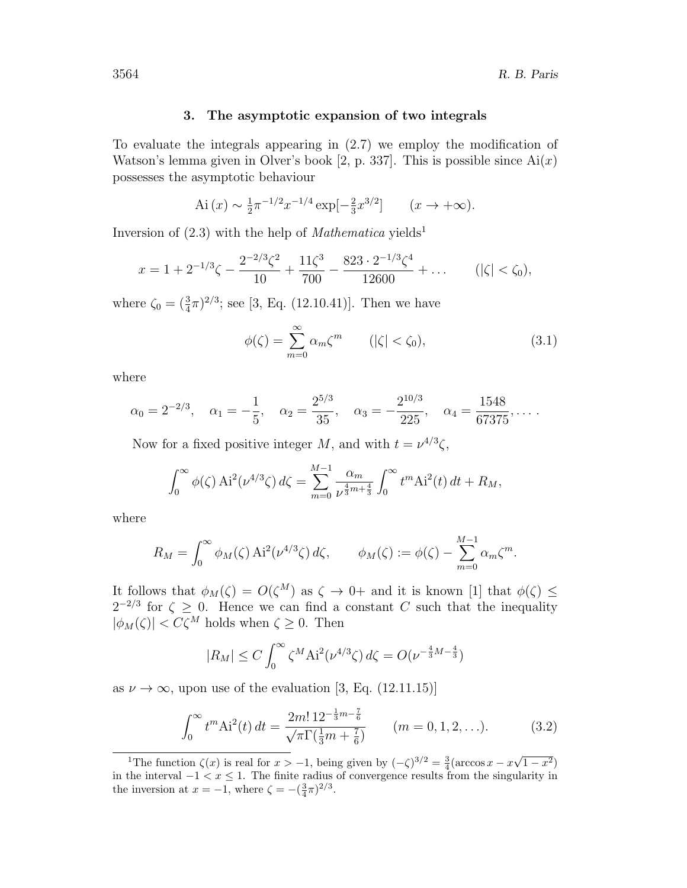### 3. The asymptotic expansion of two integrals

To evaluate the integrals appearing in (2.7) we employ the modification of Watson's lemma given in Olver's book [2, p. 337]. This is possible since  $Ai(x)$ possesses the asymptotic behaviour

Ai 
$$
(x) \sim \frac{1}{2} \pi^{-1/2} x^{-1/4} \exp[-\frac{2}{3} x^{3/2}]
$$
  $(x \to +\infty).$ 

Inversion of  $(2.3)$  with the help of *Mathematica* yields<sup>1</sup>

$$
x = 1 + 2^{-1/3}\zeta - \frac{2^{-2/3}\zeta^2}{10} + \frac{11\zeta^3}{700} - \frac{823 \cdot 2^{-1/3}\zeta^4}{12600} + \dots \qquad (|\zeta| < \zeta_0),
$$

where  $\zeta_0 = (\frac{3}{4}\pi)^{2/3}$ ; see [3, Eq. (12.10.41)]. Then we have

$$
\phi(\zeta) = \sum_{m=0}^{\infty} \alpha_m \zeta^m \qquad (|\zeta| < \zeta_0), \tag{3.1}
$$

where

$$
\alpha_0 = 2^{-2/3},
$$
  $\alpha_1 = -\frac{1}{5},$   $\alpha_2 = \frac{2^{5/3}}{35},$   $\alpha_3 = -\frac{2^{10/3}}{225},$   $\alpha_4 = \frac{1548}{67375},...$ 

Now for a fixed positive integer M, and with  $t = \nu^{4/3}\zeta$ ,

$$
\int_0^\infty \phi(\zeta) \, \mathrm{Ai}^2(\nu^{4/3}\zeta) \, d\zeta = \sum_{m=0}^{M-1} \frac{\alpha_m}{\nu^{\frac{4}{3}m+\frac{4}{3}}} \int_0^\infty t^m \mathrm{Ai}^2(t) \, dt + R_M,
$$

where

$$
R_M = \int_0^\infty \phi_M(\zeta) \, \mathrm{Ai}^2(\nu^{4/3}\zeta) \, d\zeta, \qquad \phi_M(\zeta) := \phi(\zeta) - \sum_{m=0}^{M-1} \alpha_m \zeta^m.
$$

It follows that  $\phi_M(\zeta) = O(\zeta^M)$  as  $\zeta \to 0+$  and it is known [1] that  $\phi(\zeta) \leq$  $2^{-2/3}$  for  $\zeta \geq 0$ . Hence we can find a constant C such that the inequality  $|\phi_M(\zeta)| < C\zeta^M$  holds when  $\zeta \geq 0$ . Then

$$
|R_M| \le C \int_0^\infty \zeta^M \text{Ai}^2(\nu^{4/3}\zeta) d\zeta = O(\nu^{-\frac{4}{3}M - \frac{4}{3}})
$$

as  $\nu \to \infty$ , upon use of the evaluation [3, Eq. (12.11.15)]

$$
\int_0^\infty t^m \text{Ai}^2(t) \, dt = \frac{2m! \, 12^{-\frac{1}{3}m - \frac{7}{6}}}{\sqrt{\pi \Gamma(\frac{1}{3}m + \frac{7}{6})}} \qquad (m = 0, 1, 2, \ldots). \tag{3.2}
$$

<sup>&</sup>lt;sup>1</sup>The function  $\zeta(x)$  is real for  $x > -1$ , being given by  $(-\zeta)^{3/2} = \frac{3}{4}(\arccos x - x)$ √  $(1-x^2)$ in the interval  $-1 < x \leq 1$ . The finite radius of convergence results from the singularity in the inversion at  $x = -1$ , where  $\zeta = -(\frac{3}{4}\pi)^{2/3}$ .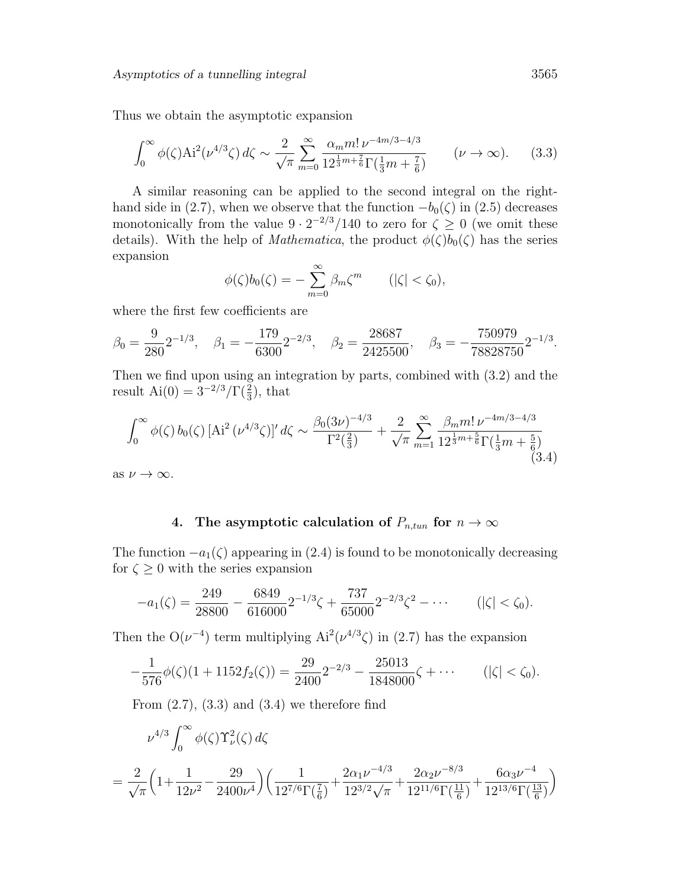Thus we obtain the asymptotic expansion

$$
\int_0^\infty \phi(\zeta) \text{Ai}^2(\nu^{4/3}\zeta) d\zeta \sim \frac{2}{\sqrt{\pi}} \sum_{m=0}^\infty \frac{\alpha_m m! \,\nu^{-4m/3 - 4/3}}{12^{\frac{1}{3}m + \frac{7}{6}} \Gamma(\frac{1}{3}m + \frac{7}{6})} \qquad (\nu \to \infty). \tag{3.3}
$$

A similar reasoning can be applied to the second integral on the righthand side in (2.7), when we observe that the function  $-b<sub>0</sub>(\zeta)$  in (2.5) decreases monotonically from the value  $9 \cdot 2^{-2/3}/140$  to zero for  $\zeta \ge 0$  (we omit these details). With the help of *Mathematica*, the product  $\phi(\zeta)b_0(\zeta)$  has the series expansion

$$
\phi(\zeta)b_0(\zeta) = -\sum_{m=0}^{\infty} \beta_m \zeta^m \qquad (|\zeta| < \zeta_0),
$$

where the first few coefficients are

$$
\beta_0 = \frac{9}{280} 2^{-1/3}, \quad \beta_1 = -\frac{179}{6300} 2^{-2/3}, \quad \beta_2 = \frac{28687}{2425500}, \quad \beta_3 = -\frac{750979}{78828750} 2^{-1/3}.
$$

Then we find upon using an integration by parts, combined with (3.2) and the result  $Ai(0) = 3^{-2/3}/\Gamma(\frac{2}{3})$ , that

$$
\int_0^\infty \phi(\zeta) b_0(\zeta) \left[ \text{Ai}^2 \left( \nu^{4/3} \zeta \right) \right]' d\zeta \sim \frac{\beta_0 (3\nu)^{-4/3}}{\Gamma^2(\frac{2}{3})} + \frac{2}{\sqrt{\pi}} \sum_{m=1}^\infty \frac{\beta_m m! \nu^{-4m/3 - 4/3}}{12^{\frac{1}{3}m + \frac{5}{6}} \Gamma(\frac{1}{3}m + \frac{5}{6})} \tag{3.4}
$$

as  $\nu \to \infty$ .

## 4. The asymptotic calculation of  $P_{n,tun}$  for  $n \to \infty$

The function  $-a_1(\zeta)$  appearing in (2.4) is found to be monotonically decreasing for  $\zeta \geq 0$  with the series expansion

$$
-a_1(\zeta) = \frac{249}{28800} - \frac{6849}{616000} 2^{-1/3} \zeta + \frac{737}{65000} 2^{-2/3} \zeta^2 - \cdots \qquad (|\zeta| < \zeta_0).
$$

Then the  $O(\nu^{-4})$  term multiplying  $Ai^2(\nu^{4/3}\zeta)$  in (2.7) has the expansion

$$
-\frac{1}{576}\phi(\zeta)(1+1152f_2(\zeta)) = \frac{29}{2400}2^{-2/3} - \frac{25013}{1848000}\zeta + \cdots
$$
 (|\zeta| < \zeta\_0).

From  $(2.7)$ ,  $(3.3)$  and  $(3.4)$  we therefore find

$$
\begin{split} &\nu^{4/3}\int_0^\infty \phi(\zeta)\Upsilon^2_\nu(\zeta)\,d\zeta\\ &=\frac{2}{\sqrt{\pi}}\Big(1+\frac{1}{12\nu^2}-\frac{29}{2400\nu^4}\Big)\bigg(\frac{1}{12^{7/6}\Gamma(\frac{7}{6})}+\frac{2\alpha_1\nu^{-4/3}}{12^{3/2}\sqrt{\pi}}+\frac{2\alpha_2\nu^{-8/3}}{12^{11/6}\Gamma(\frac{11}{6})}+\frac{6\alpha_3\nu^{-4}}{12^{13/6}\Gamma(\frac{13}{6})}\bigg) \end{split}
$$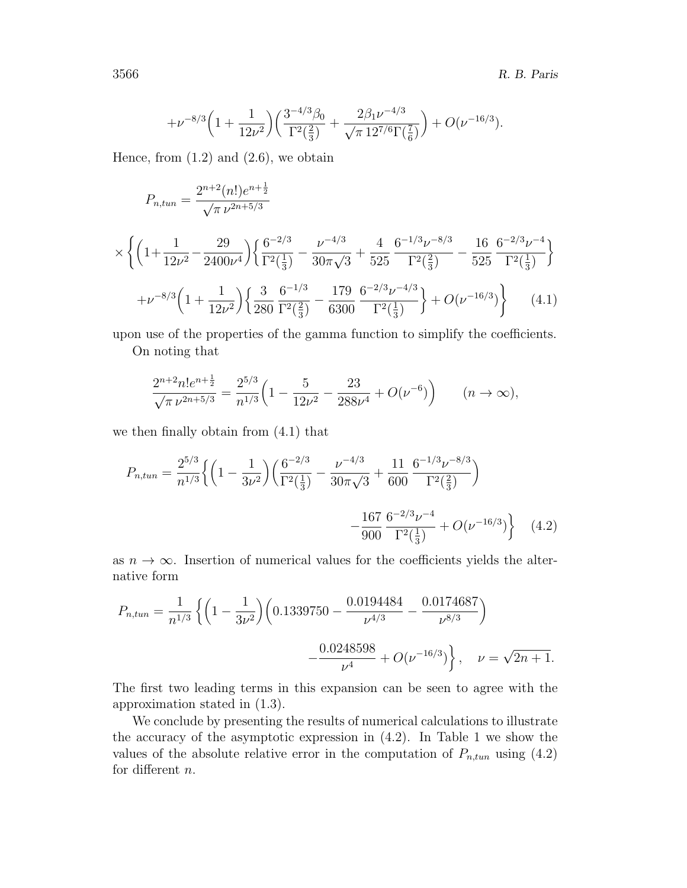$$
+\nu^{-8/3}\left(1+\frac{1}{12\nu^2}\right)\left(\frac{3^{-4/3}\beta_0}{\Gamma^2(\frac{2}{3})}+\frac{2\beta_1\nu^{-4/3}}{\sqrt{\pi} \, 12^{7/6}\Gamma(\frac{7}{6})}\right)+O(\nu^{-16/3}).
$$

Hence, from  $(1.2)$  and  $(2.6)$ , we obtain

$$
P_{n,tun} = \frac{2^{n+2}(n!)e^{n+\frac{1}{2}}}{\sqrt{\pi \nu^{2n+5/3}}}
$$
  
\n
$$
\times \left\{ \left( 1 + \frac{1}{12\nu^2} - \frac{29}{2400\nu^4} \right) \left\{ \frac{6^{-2/3}}{\Gamma^2(\frac{1}{3})} - \frac{\nu^{-4/3}}{30\pi\sqrt{3}} + \frac{4}{525} \frac{6^{-1/3}\nu^{-8/3}}{\Gamma^2(\frac{2}{3})} - \frac{16}{525} \frac{6^{-2/3}\nu^{-4}}{\Gamma^2(\frac{1}{3})} \right\}
$$
  
\n
$$
+ \nu^{-8/3} \left( 1 + \frac{1}{12\nu^2} \right) \left\{ \frac{3}{280} \frac{6^{-1/3}}{\Gamma^2(\frac{2}{3})} - \frac{179}{6300} \frac{6^{-2/3}\nu^{-4/3}}{\Gamma^2(\frac{1}{3})} \right\} + O(\nu^{-16/3}) \right\} \tag{4.1}
$$

upon use of the properties of the gamma function to simplify the coefficients. On noting that

$$
\frac{2^{n+2}n!e^{n+\frac{1}{2}}}{\sqrt{\pi \nu^{2n+5/3}}} = \frac{2^{5/3}}{n^{1/3}} \left(1 - \frac{5}{12\nu^2} - \frac{23}{288\nu^4} + O(\nu^{-6})\right) \qquad (n \to \infty),
$$

we then finally obtain from (4.1) that

$$
P_{n,tun} = \frac{2^{5/3}}{n^{1/3}} \left\{ \left( 1 - \frac{1}{3\nu^2} \right) \left( \frac{6^{-2/3}}{\Gamma^2(\frac{1}{3})} - \frac{\nu^{-4/3}}{30\pi\sqrt{3}} + \frac{11}{600} \frac{6^{-1/3}\nu^{-8/3}}{\Gamma^2(\frac{2}{3})} \right) - \frac{167}{900} \frac{6^{-2/3}\nu^{-4}}{\Gamma^2(\frac{1}{3})} + O(\nu^{-16/3}) \right\}
$$
(4.2)

as  $n \to \infty$ . Insertion of numerical values for the coefficients yields the alternative form

$$
P_{n,tun} = \frac{1}{n^{1/3}} \left\{ \left( 1 - \frac{1}{3\nu^2} \right) \left( 0.1339750 - \frac{0.0194484}{\nu^{4/3}} - \frac{0.0174687}{\nu^{8/3}} \right) - \frac{0.0248598}{\nu^4} + O(\nu^{-16/3}) \right\}, \quad \nu = \sqrt{2n+1}.
$$

The first two leading terms in this expansion can be seen to agree with the approximation stated in (1.3).

We conclude by presenting the results of numerical calculations to illustrate the accuracy of the asymptotic expression in (4.2). In Table 1 we show the values of the absolute relative error in the computation of  $P_{n,tun}$  using (4.2) for different n.